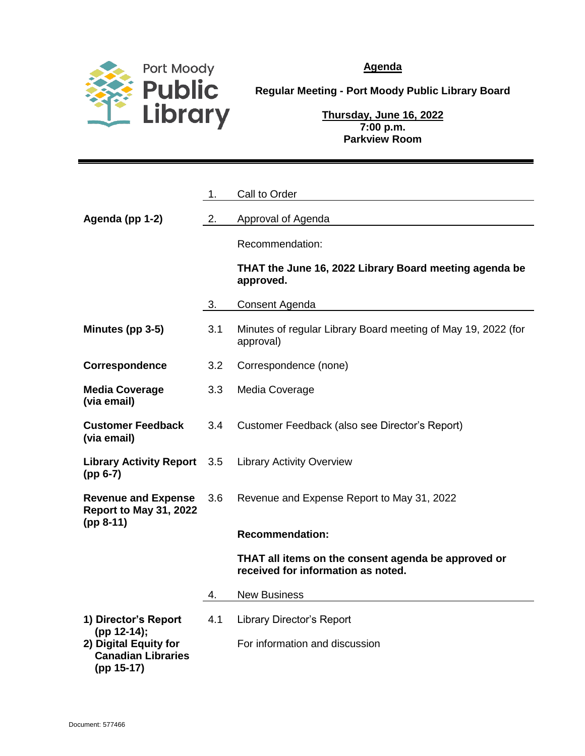

**Agenda**

**Regular Meeting - Port Moody Public Library Board**

**Thursday, June 16, 2022 7:00 p.m. Parkview Room**

|                                                                  | 1.  | Call to Order                                                                             |
|------------------------------------------------------------------|-----|-------------------------------------------------------------------------------------------|
| Agenda (pp 1-2)                                                  | 2.  | Approval of Agenda                                                                        |
|                                                                  |     | Recommendation:                                                                           |
|                                                                  |     | THAT the June 16, 2022 Library Board meeting agenda be<br>approved.                       |
|                                                                  | 3.  | Consent Agenda                                                                            |
| Minutes (pp 3-5)                                                 | 3.1 | Minutes of regular Library Board meeting of May 19, 2022 (for<br>approval)                |
| Correspondence                                                   | 3.2 | Correspondence (none)                                                                     |
| <b>Media Coverage</b><br>(via email)                             | 3.3 | Media Coverage                                                                            |
| <b>Customer Feedback</b><br>(via email)                          | 3.4 | Customer Feedback (also see Director's Report)                                            |
| <b>Library Activity Report</b><br>$(pp 6-7)$                     | 3.5 | <b>Library Activity Overview</b>                                                          |
| <b>Revenue and Expense</b><br>Report to May 31, 2022             | 3.6 | Revenue and Expense Report to May 31, 2022                                                |
| $(pp 8-11)$                                                      |     | <b>Recommendation:</b>                                                                    |
|                                                                  |     | THAT all items on the consent agenda be approved or<br>received for information as noted. |
|                                                                  | 4.  | <b>New Business</b>                                                                       |
| 1) Director's Report<br>(pp 12-14);                              | 4.1 | <b>Library Director's Report</b>                                                          |
| 2) Digital Equity for<br><b>Canadian Libraries</b><br>(pp 15-17) |     | For information and discussion                                                            |